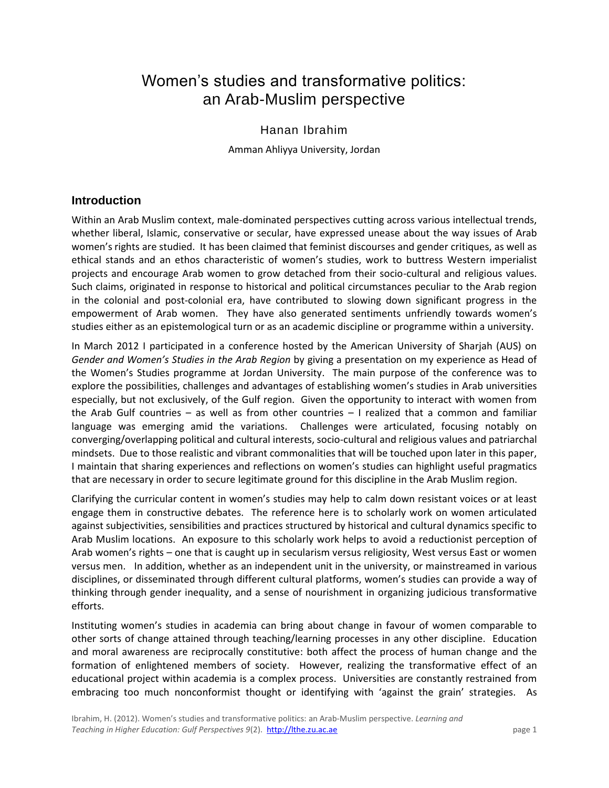# Women's studies and transformative politics: an Arab-Muslim perspective

## Hanan Ibrahim

Amman Ahliyya University, Jordan

## **Introduction**

Within an Arab Muslim context, male-dominated perspectives cutting across various intellectual trends, whether liberal, Islamic, conservative or secular, have expressed unease about the way issues of Arab women's rights are studied. It has been claimed that feminist discourses and gender critiques, as well as ethical stands and an ethos characteristic of women's studies, work to buttress Western imperialist projects and encourage Arab women to grow detached from their socio-cultural and religious values. Such claims, originated in response to historical and political circumstances peculiar to the Arab region in the colonial and post-colonial era, have contributed to slowing down significant progress in the empowerment of Arab women. They have also generated sentiments unfriendly towards women's studies either as an epistemological turn or as an academic discipline or programme within a university.

In March 2012 I participated in a conference hosted by the American University of Sharjah (AUS) on *Gender and Women's Studies in the Arab Region* by giving a presentation on my experience as Head of the Women's Studies programme at Jordan University. The main purpose of the conference was to explore the possibilities, challenges and advantages of establishing women's studies in Arab universities especially, but not exclusively, of the Gulf region. Given the opportunity to interact with women from the Arab Gulf countries – as well as from other countries – I realized that a common and familiar language was emerging amid the variations. Challenges were articulated, focusing notably on converging/overlapping political and cultural interests, socio-cultural and religious values and patriarchal mindsets. Due to those realistic and vibrant commonalities that will be touched upon later in this paper, I maintain that sharing experiences and reflections on women's studies can highlight useful pragmatics that are necessary in order to secure legitimate ground for this discipline in the Arab Muslim region.

Clarifying the curricular content in women's studies may help to calm down resistant voices or at least engage them in constructive debates. The reference here is to scholarly work on women articulated against subjectivities, sensibilities and practices structured by historical and cultural dynamics specific to Arab Muslim locations. An exposure to this scholarly work helps to avoid a reductionist perception of Arab women's rights – one that is caught up in secularism versus religiosity, West versus East or women versus men. In addition, whether as an independent unit in the university, or mainstreamed in various disciplines, or disseminated through different cultural platforms, women's studies can provide a way of thinking through gender inequality, and a sense of nourishment in organizing judicious transformative efforts.

Instituting women's studies in academia can bring about change in favour of women comparable to other sorts of change attained through teaching/learning processes in any other discipline. Education and moral awareness are reciprocally constitutive: both affect the process of human change and the formation of enlightened members of society. However, realizing the transformative effect of an educational project within academia is a complex process. Universities are constantly restrained from embracing too much nonconformist thought or identifying with 'against the grain' strategies. As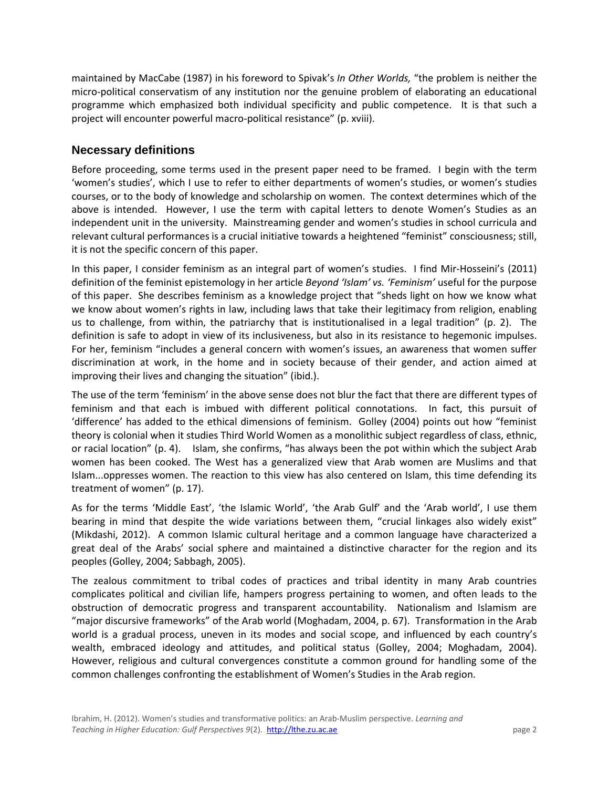maintained by MacCabe (1987) in his foreword to Spivak's *In Other Worlds,* "the problem is neither the micro-political conservatism of any institution nor the genuine problem of elaborating an educational programme which emphasized both individual specificity and public competence. It is that such a project will encounter powerful macro-political resistance" (p. xviii).

## **Necessary definitions**

Before proceeding, some terms used in the present paper need to be framed. I begin with the term 'women's studies', which I use to refer to either departments of women's studies, or women's studies courses, or to the body of knowledge and scholarship on women. The context determines which of the above is intended. However, I use the term with capital letters to denote Women's Studies as an independent unit in the university. Mainstreaming gender and women's studies in school curricula and relevant cultural performances is a crucial initiative towards a heightened "feminist" consciousness; still, it is not the specific concern of this paper.

In this paper, I consider feminism as an integral part of women's studies. I find Mir-Hosseini's (2011) definition of the feminist epistemology in her article *Beyond 'Islam' vs. 'Feminism'* useful for the purpose of this paper. She describes feminism as a knowledge project that "sheds light on how we know what we know about women's rights in law, including laws that take their legitimacy from religion, enabling us to challenge, from within, the patriarchy that is institutionalised in a legal tradition" (p. 2). The definition is safe to adopt in view of its inclusiveness, but also in its resistance to hegemonic impulses. For her, feminism "includes a general concern with women's issues, an awareness that women suffer discrimination at work, in the home and in society because of their gender, and action aimed at improving their lives and changing the situation" (ibid.).

The use of the term 'feminism' in the above sense does not blur the fact that there are different types of feminism and that each is imbued with different political connotations. In fact, this pursuit of 'difference' has added to the ethical dimensions of feminism. Golley (2004) points out how "feminist theory is colonial when it studies Third World Women as a monolithic subject regardless of class, ethnic, or racial location" (p. 4). Islam, she confirms, "has always been the pot within which the subject Arab women has been cooked. The West has a generalized view that Arab women are Muslims and that Islam...oppresses women. The reaction to this view has also centered on Islam, this time defending its treatment of women" (p. 17).

As for the terms 'Middle East', 'the Islamic World', 'the Arab Gulf' and the 'Arab world', I use them bearing in mind that despite the wide variations between them, "crucial linkages also widely exist" (Mikdashi, 2012). A common Islamic cultural heritage and a common language have characterized a great deal of the Arabs' social sphere and maintained a distinctive character for the region and its peoples (Golley, 2004; Sabbagh, 2005).

The zealous commitment to tribal codes of practices and tribal identity in many Arab countries complicates political and civilian life, hampers progress pertaining to women, and often leads to the obstruction of democratic progress and transparent accountability. Nationalism and Islamism are "major discursive frameworks" of the Arab world (Moghadam, 2004, p. 67). Transformation in the Arab world is a gradual process, uneven in its modes and social scope, and influenced by each country's wealth, embraced ideology and attitudes, and political status (Golley, 2004; Moghadam, 2004). However, religious and cultural convergences constitute a common ground for handling some of the common challenges confronting the establishment of Women's Studies in the Arab region.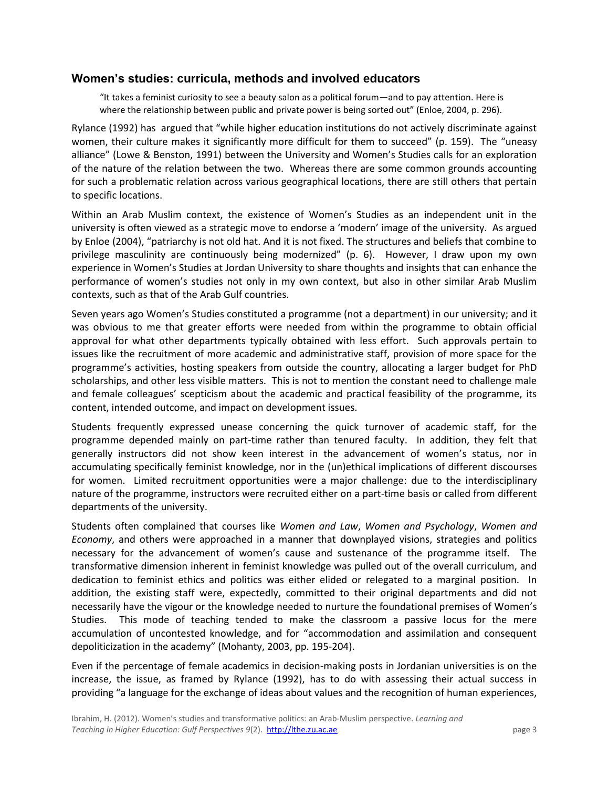#### **Women's studies: curricula, methods and involved educators**

"It takes a feminist curiosity to see a beauty salon as a political forum—and to pay attention. Here is where the relationship between public and private power is being sorted out" (Enloe, 2004, p. 296).

Rylance (1992) has argued that "while higher education institutions do not actively discriminate against women, their culture makes it significantly more difficult for them to succeed" (p. 159). The "uneasy alliance" (Lowe & Benston, 1991) between the University and Women's Studies calls for an exploration of the nature of the relation between the two. Whereas there are some common grounds accounting for such a problematic relation across various geographical locations, there are still others that pertain to specific locations.

Within an Arab Muslim context, the existence of Women's Studies as an independent unit in the university is often viewed as a strategic move to endorse a 'modern' image of the university. As argued by Enloe (2004), "patriarchy is not old hat. And it is not fixed. The structures and beliefs that combine to privilege masculinity are continuously being modernized" (p. 6). However, I draw upon my own experience in Women's Studies at Jordan University to share thoughts and insights that can enhance the performance of women's studies not only in my own context, but also in other similar Arab Muslim contexts, such as that of the Arab Gulf countries.

Seven years ago Women's Studies constituted a programme (not a department) in our university; and it was obvious to me that greater efforts were needed from within the programme to obtain official approval for what other departments typically obtained with less effort. Such approvals pertain to issues like the recruitment of more academic and administrative staff, provision of more space for the programme's activities, hosting speakers from outside the country, allocating a larger budget for PhD scholarships, and other less visible matters. This is not to mention the constant need to challenge male and female colleagues' scepticism about the academic and practical feasibility of the programme, its content, intended outcome, and impact on development issues.

Students frequently expressed unease concerning the quick turnover of academic staff, for the programme depended mainly on part-time rather than tenured faculty. In addition, they felt that generally instructors did not show keen interest in the advancement of women's status, nor in accumulating specifically feminist knowledge, nor in the (un)ethical implications of different discourses for women. Limited recruitment opportunities were a major challenge: due to the interdisciplinary nature of the programme, instructors were recruited either on a part-time basis or called from different departments of the university.

Students often complained that courses like *Women and Law*, *Women and Psychology*, *Women and Economy*, and others were approached in a manner that downplayed visions, strategies and politics necessary for the advancement of women's cause and sustenance of the programme itself. The transformative dimension inherent in feminist knowledge was pulled out of the overall curriculum, and dedication to feminist ethics and politics was either elided or relegated to a marginal position. In addition, the existing staff were, expectedly, committed to their original departments and did not necessarily have the vigour or the knowledge needed to nurture the foundational premises of Women's Studies. This mode of teaching tended to make the classroom a passive locus for the mere accumulation of uncontested knowledge, and for "accommodation and assimilation and consequent depoliticization in the academy" (Mohanty, 2003, pp. 195-204).

Even if the percentage of female academics in decision-making posts in Jordanian universities is on the increase, the issue, as framed by Rylance (1992), has to do with assessing their actual success in providing "a language for the exchange of ideas about values and the recognition of human experiences,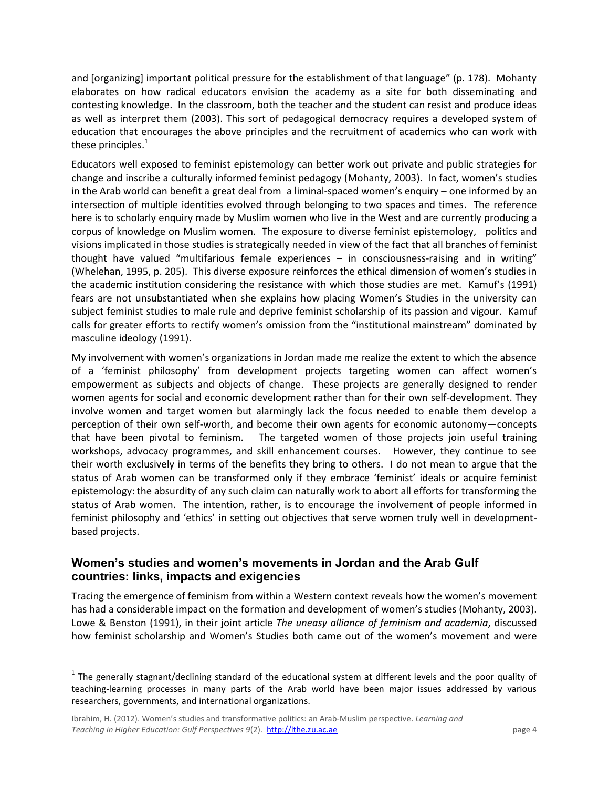and [organizing] important political pressure for the establishment of that language" (p. 178). Mohanty elaborates on how radical educators envision the academy as a site for both disseminating and contesting knowledge. In the classroom, both the teacher and the student can resist and produce ideas as well as interpret them (2003). This sort of pedagogical democracy requires a developed system of education that encourages the above principles and the recruitment of academics who can work with these principles. $<sup>1</sup>$ </sup>

Educators well exposed to feminist epistemology can better work out private and public strategies for change and inscribe a culturally informed feminist pedagogy (Mohanty, 2003). In fact, women's studies in the Arab world can benefit a great deal from a liminal-spaced women's enquiry – one informed by an intersection of multiple identities evolved through belonging to two spaces and times. The reference here is to scholarly enquiry made by Muslim women who live in the West and are currently producing a corpus of knowledge on Muslim women. The exposure to diverse feminist epistemology, politics and visions implicated in those studies is strategically needed in view of the fact that all branches of feminist thought have valued "multifarious female experiences – in consciousness-raising and in writing" (Whelehan, 1995, p. 205). This diverse exposure reinforces the ethical dimension of women's studies in the academic institution considering the resistance with which those studies are met. Kamuf's (1991) fears are not unsubstantiated when she explains how placing Women's Studies in the university can subject feminist studies to male rule and deprive feminist scholarship of its passion and vigour. Kamuf calls for greater efforts to rectify women's omission from the "institutional mainstream" dominated by masculine ideology (1991).

My involvement with women's organizations in Jordan made me realize the extent to which the absence of a 'feminist philosophy' from development projects targeting women can affect women's empowerment as subjects and objects of change. These projects are generally designed to render women agents for social and economic development rather than for their own self-development. They involve women and target women but alarmingly lack the focus needed to enable them develop a perception of their own self-worth, and become their own agents for economic autonomy—concepts that have been pivotal to feminism. The targeted women of those projects join useful training workshops, advocacy programmes, and skill enhancement courses. However, they continue to see their worth exclusively in terms of the benefits they bring to others. I do not mean to argue that the status of Arab women can be transformed only if they embrace 'feminist' ideals or acquire feminist epistemology: the absurdity of any such claim can naturally work to abort all efforts for transforming the status of Arab women. The intention, rather, is to encourage the involvement of people informed in feminist philosophy and 'ethics' in setting out objectives that serve women truly well in developmentbased projects.

## **Women's studies and women's movements in Jordan and the Arab Gulf countries: links, impacts and exigencies**

Tracing the emergence of feminism from within a Western context reveals how the women's movement has had a considerable impact on the formation and development of women's studies (Mohanty, 2003). Lowe & Benston (1991), in their joint article *The uneasy alliance of feminism and academia*, discussed how feminist scholarship and Women's Studies both came out of the women's movement and were

 $\overline{a}$ 

 $<sup>1</sup>$  The generally stagnant/declining standard of the educational system at different levels and the poor quality of</sup> teaching-learning processes in many parts of the Arab world have been major issues addressed by various researchers, governments, and international organizations.

Ibrahim, H. (2012). Women's studies and transformative politics: an Arab-Muslim perspective. *Learning and Teaching in Higher Education: Gulf Perspectives 9(2).* http://lthe.zu.ac.ae page 4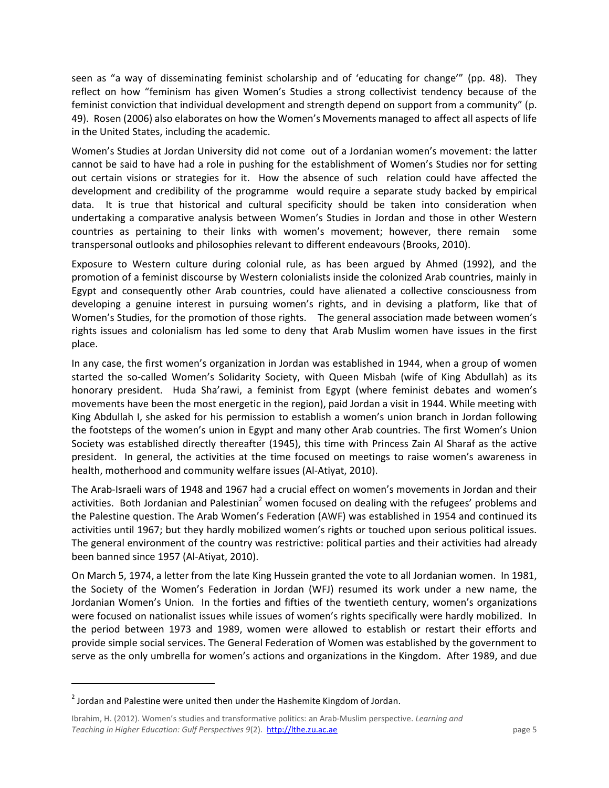seen as "a way of disseminating feminist scholarship and of 'educating for change'" (pp. 48). They reflect on how "feminism has given Women's Studies a strong collectivist tendency because of the feminist conviction that individual development and strength depend on support from a community" (p. 49). Rosen (2006) also elaborates on how the Women's Movements managed to affect all aspects of life in the United States, including the academic.

Women's Studies at Jordan University did not come out of a Jordanian women's movement: the latter cannot be said to have had a role in pushing for the establishment of Women's Studies nor for setting out certain visions or strategies for it. How the absence of such relation could have affected the development and credibility of the programme would require a separate study backed by empirical data. It is true that historical and cultural specificity should be taken into consideration when undertaking a comparative analysis between Women's Studies in Jordan and those in other Western countries as pertaining to their links with women's movement; however, there remain some transpersonal outlooks and philosophies relevant to different endeavours (Brooks, 2010).

Exposure to Western culture during colonial rule, as has been argued by Ahmed (1992), and the promotion of a feminist discourse by Western colonialists inside the colonized Arab countries, mainly in Egypt and consequently other Arab countries, could have alienated a collective consciousness from developing a genuine interest in pursuing women's rights, and in devising a platform, like that of Women's Studies, for the promotion of those rights. The general association made between women's rights issues and colonialism has led some to deny that Arab Muslim women have issues in the first place.

In any case, the first women's organization in Jordan was established in 1944, when a group of women started the so-called Women's Solidarity Society, with Queen Misbah (wife of King Abdullah) as its honorary president. Huda Sha'rawi, a feminist from Egypt (where feminist debates and women's movements have been the most energetic in the region), paid Jordan a visit in 1944. While meeting with King Abdullah I, she asked for his permission to establish a women's union branch in Jordan following the footsteps of the women's union in Egypt and many other Arab countries. The first Women's Union Society was established directly thereafter (1945), this time with Princess Zain Al Sharaf as the active president. In general, the activities at the time focused on meetings to raise women's awareness in health, motherhood and community welfare issues (Al-Atiyat, 2010).

The Arab-Israeli wars of 1948 and 1967 had a crucial effect on women's movements in Jordan and their activities. Both Jordanian and Palestinian<sup>2</sup> women focused on dealing with the refugees' problems and the Palestine question. The Arab Women's Federation (AWF) was established in 1954 and continued its activities until 1967; but they hardly mobilized women's rights or touched upon serious political issues. The general environment of the country was restrictive: political parties and their activities had already been banned since 1957 (Al-Atiyat, 2010).

On March 5, 1974, a letter from the late King Hussein granted the vote to all Jordanian women. In 1981, the Society of the Women's Federation in Jordan (WFJ) resumed its work under a new name, the Jordanian Women's Union. In the forties and fifties of the twentieth century, women's organizations were focused on nationalist issues while issues of women's rights specifically were hardly mobilized. In the period between 1973 and 1989, women were allowed to establish or restart their efforts and provide simple social services. The General Federation of Women was established by the government to serve as the only umbrella for women's actions and organizations in the Kingdom. After 1989, and due

l

 $^{2}$  Jordan and Palestine were united then under the Hashemite Kingdom of Jordan.

Ibrahim, H. (2012). Women's studies and transformative politics: an Arab-Muslim perspective. *Learning and Teaching in Higher Education: Gulf Perspectives 9(2).* http://lthe.zu.ac.ae page 5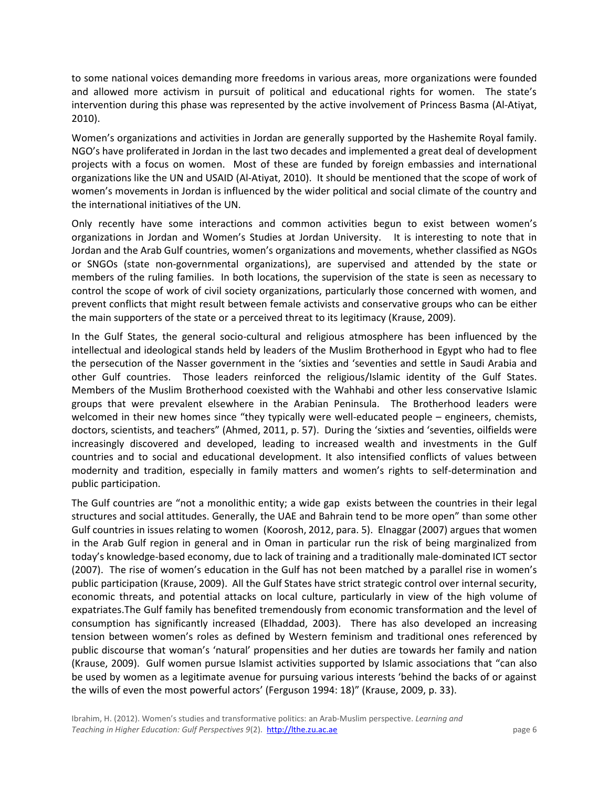to some national voices demanding more freedoms in various areas, more organizations were founded and allowed more activism in pursuit of political and educational rights for women. The state's intervention during this phase was represented by the active involvement of Princess Basma (Al-Atiyat, 2010).

Women's organizations and activities in Jordan are generally supported by the Hashemite Royal family. NGO's have proliferated in Jordan in the last two decades and implemented a great deal of development projects with a focus on women. Most of these are funded by foreign embassies and international organizations like the UN and USAID (Al-Atiyat, 2010). It should be mentioned that the scope of work of women's movements in Jordan is influenced by the wider political and social climate of the country and the international initiatives of the UN.

Only recently have some interactions and common activities begun to exist between women's organizations in Jordan and Women's Studies at Jordan University. It is interesting to note that in Jordan and the Arab Gulf countries, women's organizations and movements, whether classified as NGOs or SNGOs (state non-governmental organizations), are supervised and attended by the state or members of the ruling families. In both locations, the supervision of the state is seen as necessary to control the scope of work of civil society organizations, particularly those concerned with women, and prevent conflicts that might result between female activists and conservative groups who can be either the main supporters of the state or a perceived threat to its legitimacy (Krause, 2009).

In the Gulf States, the general socio-cultural and religious atmosphere has been influenced by the intellectual and ideological stands held by leaders of the Muslim Brotherhood in Egypt who had to flee the persecution of the Nasser government in the 'sixties and 'seventies and settle in Saudi Arabia and other Gulf countries. Those leaders reinforced the religious/Islamic identity of the Gulf States. Members of the Muslim Brotherhood coexisted with the Wahhabi and other less conservative Islamic groups that were prevalent elsewhere in the Arabian Peninsula. The Brotherhood leaders were welcomed in their new homes since "they typically were well-educated people – engineers, chemists, doctors, scientists, and teachers" (Ahmed, 2011, p. 57). During the 'sixties and 'seventies, oilfields were increasingly discovered and developed, leading to increased wealth and investments in the Gulf countries and to social and educational development. It also intensified conflicts of values between modernity and tradition, especially in family matters and women's rights to self-determination and public participation.

The Gulf countries are "not a monolithic entity; a wide gap exists between the countries in their legal structures and social attitudes. Generally, the UAE and Bahrain tend to be more open" than some other Gulf countries in issues relating to women (Koorosh, 2012, para. 5). Elnaggar (2007) argues that women in the Arab Gulf region in general and in Oman in particular run the risk of being marginalized from today's knowledge-based economy, due to lack of training and a traditionally male-dominated ICT sector (2007). The rise of women's education in the Gulf has not been matched by a parallel rise in women's public participation (Krause, 2009). All the Gulf States have strict strategic control over internal security, economic threats, and potential attacks on local culture, particularly in view of the high volume of expatriates.The Gulf family has benefited tremendously from economic transformation and the level of consumption has significantly increased (Elhaddad, 2003). There has also developed an increasing tension between women's roles as defined by Western feminism and traditional ones referenced by public discourse that woman's 'natural' propensities and her duties are towards her family and nation (Krause, 2009). Gulf women pursue Islamist activities supported by Islamic associations that "can also be used by women as a legitimate avenue for pursuing various interests 'behind the backs of or against the wills of even the most powerful actors' (Ferguson 1994: 18)" (Krause, 2009, p. 33).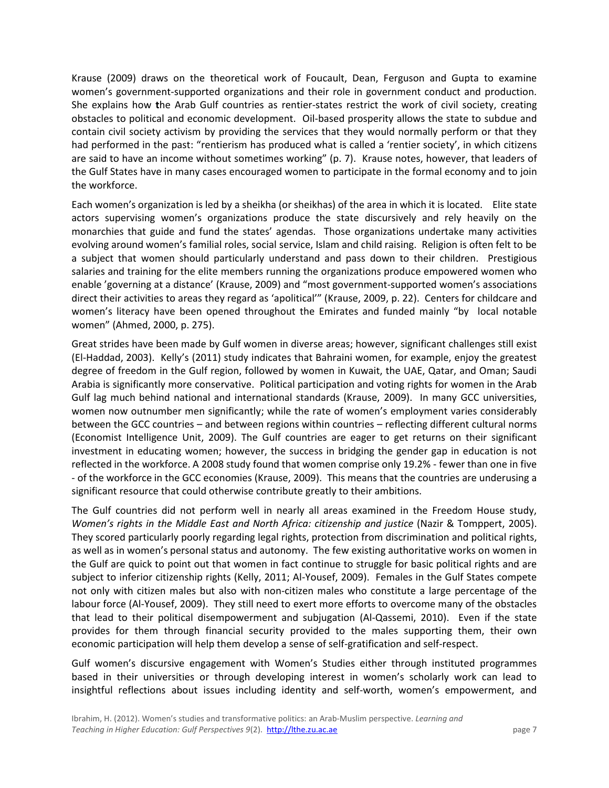Krause (2009) draws on the theoretical work of Foucault, Dean, Ferguson and Gupta to examine women's government-supported organizations and their role in government conduct and production. She explains how **t**he Arab Gulf countries as rentier-states restrict the work of civil society, creating obstacles to political and economic development. Oil-based prosperity allows the state to subdue and contain civil society activism by providing the services that they would normally perform or that they had performed in the past: "rentierism has produced what is called a 'rentier society', in which citizens are said to have an income without sometimes working" (p. 7). Krause notes, however, that leaders of the Gulf States have in many cases encouraged women to participate in the formal economy and to join the workforce.

Each women's organization is led by a sheikha (or sheikhas) of the area in which it is located. Elite state actors supervising women's organizations produce the state discursively and rely heavily on the monarchies that guide and fund the states' agendas. Those organizations undertake many activities evolving around women's familial roles, social service, Islam and child raising. Religion is often felt to be a subject that women should particularly understand and pass down to their children. Prestigious salaries and training for the elite members running the organizations produce empowered women who enable 'governing at a distance' (Krause, 2009) and "most government-supported women's associations direct their activities to areas they regard as 'apolitical'" (Krause, 2009, p. 22). Centers for childcare and women's literacy have been opened throughout the Emirates and funded mainly "by local notable women" (Ahmed, 2000, p. 275).

Great strides have been made by Gulf women in diverse areas; however, significant challenges still exist (El-Haddad, 2003). Kelly's (2011) study indicates that Bahraini women, for example, enjoy the greatest degree of freedom in the Gulf region, followed by women in Kuwait, the UAE, Qatar, and Oman; Saudi Arabia is significantly more conservative. Political participation and voting rights for women in the Arab Gulf lag much behind national and international standards (Krause, 2009). In many GCC universities, women now outnumber men significantly; while the rate of women's employment varies considerably between the GCC countries – and between regions within countries – reflecting different cultural norms (Economist Intelligence Unit, 2009). The Gulf countries are eager to get returns on their significant investment in educating women; however, the success in bridging the gender gap in education is not reflected in the workforce. A 2008 study found that women comprise only 19.2% - fewer than one in five - of the workforce in the GCC economies (Krause, 2009). This means that the countries are underusing a significant resource that could otherwise contribute greatly to their ambitions.

The Gulf countries did not perform well in nearly all areas examined in the Freedom House study, *Women's rights in the Middle East and North Africa: citizenship and justice* (Nazir & Tomppert, 2005). They scored particularly poorly regarding legal rights, protection from discrimination and political rights, as well as in women's personal status and autonomy. The few existing authoritative works on women in the Gulf are quick to point out that women in fact continue to struggle for basic political rights and are subject to inferior citizenship rights (Kelly, 2011; Al-Yousef, 2009). Females in the Gulf States compete not only with citizen males but also with non-citizen males who constitute a large percentage of the labour force (Al-Yousef, 2009).They still need to exert more efforts to overcome many of the obstacles that lead to their political disempowerment and subjugation (Al-Qassemi, 2010). Even if the state provides for them through financial security provided to the males supporting them, their own economic participation will help them develop a sense of self-gratification and self-respect.

Gulf women's discursive engagement with Women's Studies either through instituted programmes based in their universities or through developing interest in women's scholarly work can lead to insightful reflections about issues including identity and self-worth, women's empowerment, and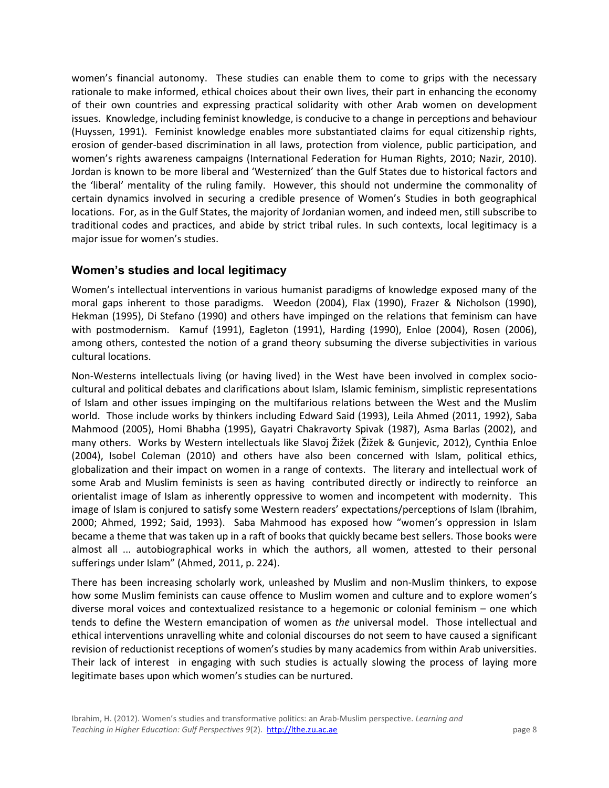women's financial autonomy. These studies can enable them to come to grips with the necessary rationale to make informed, ethical choices about their own lives, their part in enhancing the economy of their own countries and expressing practical solidarity with other Arab women on development issues. Knowledge, including feminist knowledge, is conducive to a change in perceptions and behaviour (Huyssen, 1991). Feminist knowledge enables more substantiated claims for equal citizenship rights, erosion of gender-based discrimination in all laws, protection from violence, public participation, and women's rights awareness campaigns (International Federation for Human Rights, 2010; Nazir, 2010). Jordan is known to be more liberal and 'Westernized' than the Gulf States due to historical factors and the 'liberal' mentality of the ruling family. However, this should not undermine the commonality of certain dynamics involved in securing a credible presence of Women's Studies in both geographical locations. For, as in the Gulf States, the majority of Jordanian women, and indeed men, still subscribe to traditional codes and practices, and abide by strict tribal rules. In such contexts, local legitimacy is a major issue for women's studies.

## **Women's studies and local legitimacy**

Women's intellectual interventions in various humanist paradigms of knowledge exposed many of the moral gaps inherent to those paradigms. Weedon (2004), Flax (1990), Frazer & Nicholson (1990), Hekman (1995), Di Stefano (1990) and others have impinged on the relations that feminism can have with postmodernism. Kamuf (1991), Eagleton (1991), Harding (1990), Enloe (2004), Rosen (2006), among others, contested the notion of a grand theory subsuming the diverse subjectivities in various cultural locations.

Non-Westerns intellectuals living (or having lived) in the West have been involved in complex sociocultural and political debates and clarifications about Islam, Islamic feminism, simplistic representations of Islam and other issues impinging on the multifarious relations between the West and the Muslim world. Those include works by thinkers including Edward Said (1993), Leila Ahmed (2011, 1992), Saba Mahmood (2005), Homi Bhabha (1995), Gayatri Chakravorty Spivak (1987), Asma Barlas (2002), and many others. Works by Western intellectuals like Slavoj Žižek (Žižek & Gunjevic, 2012), Cynthia Enloe (2004), Isobel Coleman (2010) and others have also been concerned with Islam, political ethics, globalization and their impact on women in a range of contexts. The literary and intellectual work of some Arab and Muslim feminists is seen as having contributed directly or indirectly to reinforce an orientalist image of Islam as inherently oppressive to women and incompetent with modernity. This image of Islam is conjured to satisfy some Western readers' expectations/perceptions of Islam (Ibrahim, 2000; Ahmed, 1992; Said, 1993). Saba Mahmood has exposed how "women's oppression in Islam became a theme that was taken up in a raft of books that quickly became best sellers. Those books were almost all ... autobiographical works in which the authors, all women, attested to their personal sufferings under Islam" (Ahmed, 2011, p. 224).

There has been increasing scholarly work, unleashed by Muslim and non-Muslim thinkers, to expose how some Muslim feminists can cause offence to Muslim women and culture and to explore women's diverse moral voices and contextualized resistance to a hegemonic or colonial feminism – one which tends to define the Western emancipation of women as *the* universal model. Those intellectual and ethical interventions unravelling white and colonial discourses do not seem to have caused a significant revision of reductionist receptions of women's studies by many academics from within Arab universities. Their lack of interest in engaging with such studies is actually slowing the process of laying more legitimate bases upon which women's studies can be nurtured.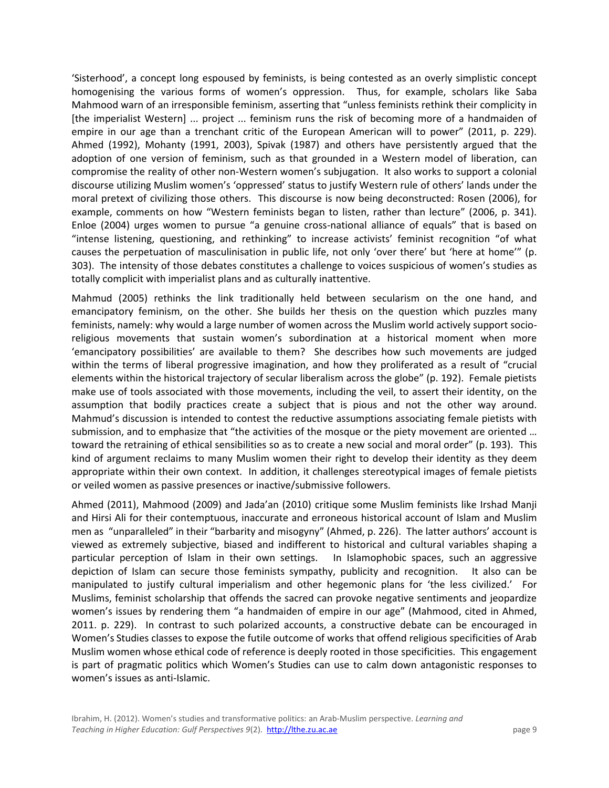'Sisterhood', a concept long espoused by feminists, is being contested as an overly simplistic concept homogenising the various forms of women's oppression. Thus, for example, scholars like Saba Mahmood warn of an irresponsible feminism, asserting that "unless feminists rethink their complicity in [the imperialist Western] ... project ... feminism runs the risk of becoming more of a handmaiden of empire in our age than a trenchant critic of the European American will to power" (2011, p. 229). Ahmed (1992), Mohanty (1991, 2003), Spivak (1987) and others have persistently argued that the adoption of one version of feminism, such as that grounded in a Western model of liberation, can compromise the reality of other non-Western women's subjugation. It also works to support a colonial discourse utilizing Muslim women's 'oppressed' status to justify Western rule of others' lands under the moral pretext of civilizing those others. This discourse is now being deconstructed: Rosen (2006), for example, comments on how "Western feminists began to listen, rather than lecture" (2006, p. 341). Enloe (2004) urges women to pursue "a genuine cross-national alliance of equals" that is based on "intense listening, questioning, and rethinking" to increase activists' feminist recognition "of what causes the perpetuation of masculinisation in public life, not only 'over there' but 'here at home'" (p. 303). The intensity of those debates constitutes a challenge to voices suspicious of women's studies as totally complicit with imperialist plans and as culturally inattentive.

Mahmud (2005) rethinks the link traditionally held between secularism on the one hand, and emancipatory feminism, on the other. She builds her thesis on the question which puzzles many feminists, namely: why would a large number of women across the Muslim world actively support socioreligious movements that sustain women's subordination at a historical moment when more 'emancipatory possibilities' are available to them? She describes how such movements are judged within the terms of liberal progressive imagination, and how they proliferated as a result of "crucial elements within the historical trajectory of secular liberalism across the globe" (p. 192). Female pietists make use of tools associated with those movements, including the veil, to assert their identity, on the assumption that bodily practices create a subject that is pious and not the other way around. Mahmud's discussion is intended to contest the reductive assumptions associating female pietists with submission, and to emphasize that "the activities of the mosque or the piety movement are oriented … toward the retraining of ethical sensibilities so as to create a new social and moral order" (p. 193). This kind of argument reclaims to many Muslim women their right to develop their identity as they deem appropriate within their own context. In addition, it challenges stereotypical images of female pietists or veiled women as passive presences or inactive/submissive followers.

Ahmed (2011), Mahmood (2009) and Jada'an (2010) critique some Muslim feminists like Irshad Manji and Hirsi Ali for their contemptuous, inaccurate and erroneous historical account of Islam and Muslim men as "unparalleled" in their "barbarity and misogyny" (Ahmed, p. 226). The latter authors' account is viewed as extremely subjective, biased and indifferent to historical and cultural variables shaping a particular perception of Islam in their own settings. In Islamophobic spaces, such an aggressive depiction of Islam can secure those feminists sympathy, publicity and recognition. It also can be manipulated to justify cultural imperialism and other hegemonic plans for 'the less civilized.' For Muslims, feminist scholarship that offends the sacred can provoke negative sentiments and jeopardize women's issues by rendering them "a handmaiden of empire in our age" (Mahmood, cited in Ahmed, 2011. p. 229). In contrast to such polarized accounts, a constructive debate can be encouraged in Women's Studies classes to expose the futile outcome of works that offend religious specificities of Arab Muslim women whose ethical code of reference is deeply rooted in those specificities. This engagement is part of pragmatic politics which Women's Studies can use to calm down antagonistic responses to women's issues as anti-Islamic.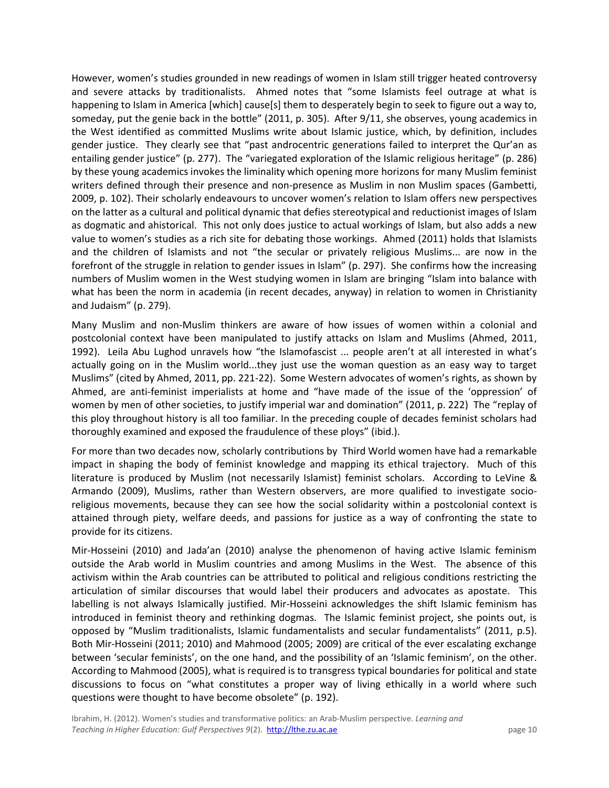However, women's studies grounded in new readings of women in Islam still trigger heated controversy and severe attacks by traditionalists. Ahmed notes that "some Islamists feel outrage at what is happening to Islam in America [which] cause[s] them to desperately begin to seek to figure out a way to, someday, put the genie back in the bottle" (2011, p. 305). After 9/11, she observes, young academics in the West identified as committed Muslims write about Islamic justice, which, by definition, includes gender justice. They clearly see that "past androcentric generations failed to interpret the Qur'an as entailing gender justice" (p. 277). The "variegated exploration of the Islamic religious heritage" (p. 286) by these young academics invokes the liminality which opening more horizons for many Muslim feminist writers defined through their presence and non-presence as Muslim in non Muslim spaces (Gambetti, 2009, p. 102). Their scholarly endeavours to uncover women's relation to Islam offers new perspectives on the latter as a cultural and political dynamic that defies stereotypical and reductionist images of Islam as dogmatic and ahistorical. This not only does justice to actual workings of Islam, but also adds a new value to women's studies as a rich site for debating those workings. Ahmed (2011) holds that Islamists and the children of Islamists and not "the secular or privately religious Muslims... are now in the forefront of the struggle in relation to gender issues in Islam" (p. 297). She confirms how the increasing numbers of Muslim women in the West studying women in Islam are bringing "Islam into balance with what has been the norm in academia (in recent decades, anyway) in relation to women in Christianity and Judaism" (p. 279).

Many Muslim and non-Muslim thinkers are aware of how issues of women within a colonial and postcolonial context have been manipulated to justify attacks on Islam and Muslims (Ahmed, 2011, 1992). Leila Abu Lughod unravels how "the Islamofascist ... people aren't at all interested in what's actually going on in the Muslim world...they just use the woman question as an easy way to target Muslims" (cited by Ahmed, 2011, pp. 221-22). Some Western advocates of women's rights, as shown by Ahmed, are anti-feminist imperialists at home and "have made of the issue of the 'oppression' of women by men of other societies, to justify imperial war and domination" (2011, p. 222) The "replay of this ploy throughout history is all too familiar. In the preceding couple of decades feminist scholars had thoroughly examined and exposed the fraudulence of these ploys" (ibid.).

For more than two decades now, scholarly contributions by Third World women have had a remarkable impact in shaping the body of feminist knowledge and mapping its ethical trajectory. Much of this literature is produced by Muslim (not necessarily Islamist) feminist scholars. According to LeVine & Armando (2009), Muslims, rather than Western observers, are more qualified to investigate socioreligious movements, because they can see how the social solidarity within a postcolonial context is attained through piety, welfare deeds, and passions for justice as a way of confronting the state to provide for its citizens.

Mir-Hosseini (2010) and Jada'an (2010) analyse the phenomenon of having active Islamic feminism outside the Arab world in Muslim countries and among Muslims in the West. The absence of this activism within the Arab countries can be attributed to political and religious conditions restricting the articulation of similar discourses that would label their producers and advocates as apostate. This labelling is not always Islamically justified. Mir-Hosseini acknowledges the shift Islamic feminism has introduced in feminist theory and rethinking dogmas. The Islamic feminist project, she points out, is opposed by "Muslim traditionalists, Islamic fundamentalists and secular fundamentalists" (2011, p.5). Both Mir-Hosseini (2011; 2010) and Mahmood (2005; 2009) are critical of the ever escalating exchange between 'secular feminists', on the one hand, and the possibility of an 'Islamic feminism', on the other. According to Mahmood (2005), what is required is to transgress typical boundaries for political and state discussions to focus on "what constitutes a proper way of living ethically in a world where such questions were thought to have become obsolete" (p. 192).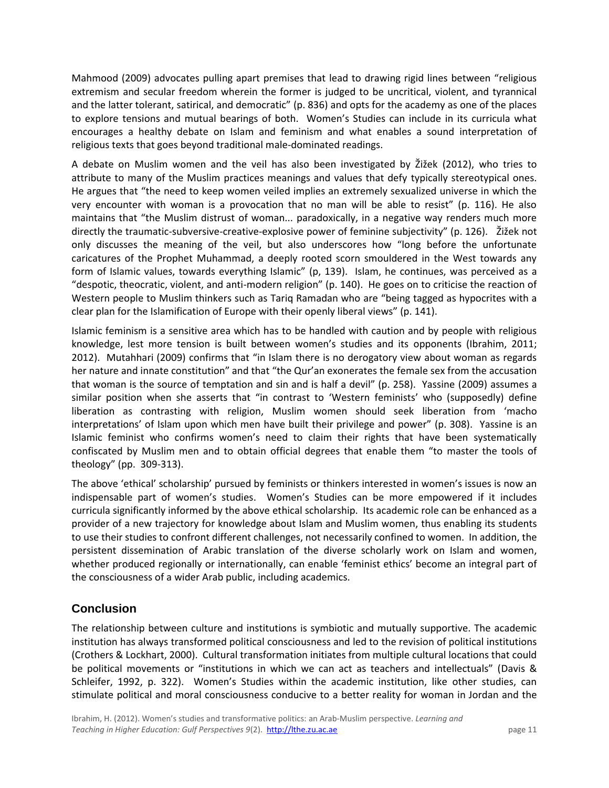Mahmood (2009) advocates pulling apart premises that lead to drawing rigid lines between "religious extremism and secular freedom wherein the former is judged to be uncritical, violent, and tyrannical and the latter tolerant, satirical, and democratic" (p. 836) and opts for the academy as one of the places to explore tensions and mutual bearings of both. Women's Studies can include in its curricula what encourages a healthy debate on Islam and feminism and what enables a sound interpretation of religious texts that goes beyond traditional male-dominated readings.

A debate on Muslim women and the veil has also been investigated by Žižek (2012), who tries to attribute to many of the Muslim practices meanings and values that defy typically stereotypical ones. He argues that "the need to keep women veiled implies an extremely sexualized universe in which the very encounter with woman is a provocation that no man will be able to resist" (p. 116). He also maintains that "the Muslim distrust of woman... paradoxically, in a negative way renders much more directly the traumatic-subversive-creative-explosive power of feminine subjectivity" (p. 126). Žižek not only discusses the meaning of the veil, but also underscores how "long before the unfortunate caricatures of the Prophet Muhammad, a deeply rooted scorn smouldered in the West towards any form of Islamic values, towards everything Islamic" (p, 139). Islam, he continues, was perceived as a "despotic, theocratic, violent, and anti-modern religion" (p. 140). He goes on to criticise the reaction of Western people to Muslim thinkers such as Tariq Ramadan who are "being tagged as hypocrites with a clear plan for the Islamification of Europe with their openly liberal views" (p. 141).

Islamic feminism is a sensitive area which has to be handled with caution and by people with religious knowledge, lest more tension is built between women's studies and its opponents (Ibrahim, 2011; 2012). Mutahhari (2009) confirms that "in Islam there is no derogatory view about woman as regards her nature and innate constitution" and that "the Qur'an exonerates the female sex from the accusation that woman is the source of temptation and sin and is half a devil" (p. 258). Yassine (2009) assumes a similar position when she asserts that "in contrast to 'Western feminists' who (supposedly) define liberation as contrasting with religion, Muslim women should seek liberation from 'macho interpretations' of Islam upon which men have built their privilege and power" (p. 308). Yassine is an Islamic feminist who confirms women's need to claim their rights that have been systematically confiscated by Muslim men and to obtain official degrees that enable them "to master the tools of theology" (pp. 309-313).

The above 'ethical' scholarship' pursued by feminists or thinkers interested in women's issues is now an indispensable part of women's studies. Women's Studies can be more empowered if it includes curricula significantly informed by the above ethical scholarship. Its academic role can be enhanced as a provider of a new trajectory for knowledge about Islam and Muslim women, thus enabling its students to use their studies to confront different challenges, not necessarily confined to women. In addition, the persistent dissemination of Arabic translation of the diverse scholarly work on Islam and women, whether produced regionally or internationally, can enable 'feminist ethics' become an integral part of the consciousness of a wider Arab public, including academics.

## **Conclusion**

The relationship between culture and institutions is symbiotic and mutually supportive. The academic institution has always transformed political consciousness and led to the revision of political institutions (Crothers & Lockhart, 2000). Cultural transformation initiates from multiple cultural locations that could be political movements or "institutions in which we can act as teachers and intellectuals" (Davis & Schleifer, 1992, p. 322). Women's Studies within the academic institution, like other studies, can stimulate political and moral consciousness conducive to a better reality for woman in Jordan and the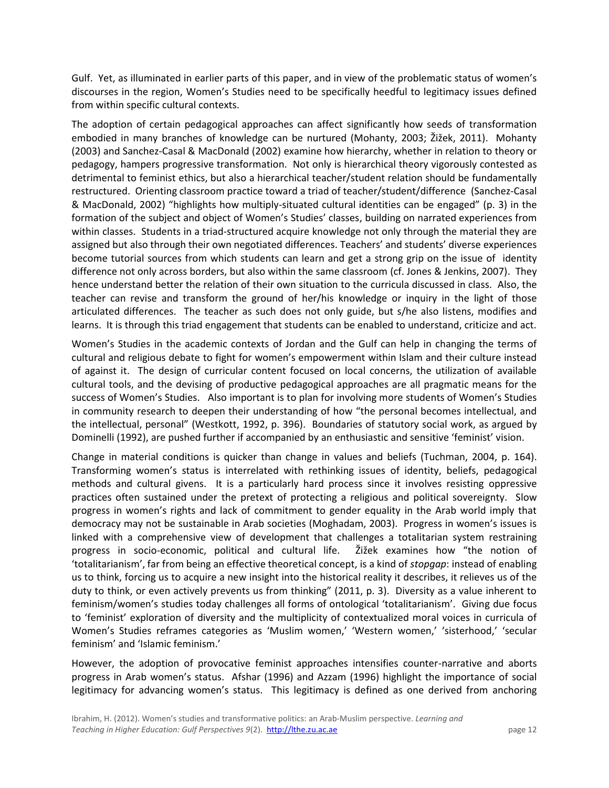Gulf. Yet, as illuminated in earlier parts of this paper, and in view of the problematic status of women's discourses in the region, Women's Studies need to be specifically heedful to legitimacy issues defined from within specific cultural contexts.

The adoption of certain pedagogical approaches can affect significantly how seeds of transformation embodied in many branches of knowledge can be nurtured (Mohanty, 2003; Žižek, 2011). Mohanty (2003) and Sanchez-Casal & MacDonald (2002) examine how hierarchy, whether in relation to theory or pedagogy, hampers progressive transformation. Not only is hierarchical theory vigorously contested as detrimental to feminist ethics, but also a hierarchical teacher/student relation should be fundamentally restructured. Orienting classroom practice toward a triad of teacher/student/difference (Sanchez-Casal & MacDonald, 2002) "highlights how multiply-situated cultural identities can be engaged" (p. 3) in the formation of the subject and object of Women's Studies' classes, building on narrated experiences from within classes. Students in a triad-structured acquire knowledge not only through the material they are assigned but also through their own negotiated differences. Teachers' and students' diverse experiences become tutorial sources from which students can learn and get a strong grip on the issue of identity difference not only across borders, but also within the same classroom (cf. Jones & Jenkins, 2007). They hence understand better the relation of their own situation to the curricula discussed in class. Also, the teacher can revise and transform the ground of her/his knowledge or inquiry in the light of those articulated differences. The teacher as such does not only guide, but s/he also listens, modifies and learns. It is through this triad engagement that students can be enabled to understand, criticize and act.

Women's Studies in the academic contexts of Jordan and the Gulf can help in changing the terms of cultural and religious debate to fight for women's empowerment within Islam and their culture instead of against it. The design of curricular content focused on local concerns, the utilization of available cultural tools, and the devising of productive pedagogical approaches are all pragmatic means for the success of Women's Studies. Also important is to plan for involving more students of Women's Studies in community research to deepen their understanding of how "the personal becomes intellectual, and the intellectual, personal" (Westkott, 1992, p. 396). Boundaries of statutory social work, as argued by Dominelli (1992), are pushed further if accompanied by an enthusiastic and sensitive 'feminist' vision.

Change in material conditions is quicker than change in values and beliefs (Tuchman, 2004, p. 164). Transforming women's status is interrelated with rethinking issues of identity, beliefs, pedagogical methods and cultural givens. It is a particularly hard process since it involves resisting oppressive practices often sustained under the pretext of protecting a religious and political sovereignty. Slow progress in women's rights and lack of commitment to gender equality in the Arab world imply that democracy may not be sustainable in Arab societies (Moghadam, 2003). Progress in women's issues is linked with a comprehensive view of development that challenges a totalitarian system restraining progress in socio-economic, political and cultural life. Žižek examines how "the notion of 'totalitarianism', far from being an effective theoretical concept, is a kind of *stopgap*: instead of enabling us to think, forcing us to acquire a new insight into the historical reality it describes, it relieves us of the duty to think, or even actively prevents us from thinking" (2011, p. 3). Diversity as a value inherent to feminism/women's studies today challenges all forms of ontological 'totalitarianism'. Giving due focus to 'feminist' exploration of diversity and the multiplicity of contextualized moral voices in curricula of Women's Studies reframes categories as 'Muslim women,' 'Western women,' 'sisterhood,' 'secular feminism' and 'Islamic feminism.'

However, the adoption of provocative feminist approaches intensifies counter-narrative and aborts progress in Arab women's status. Afshar (1996) and Azzam (1996) highlight the importance of social legitimacy for advancing women's status. This legitimacy is defined as one derived from anchoring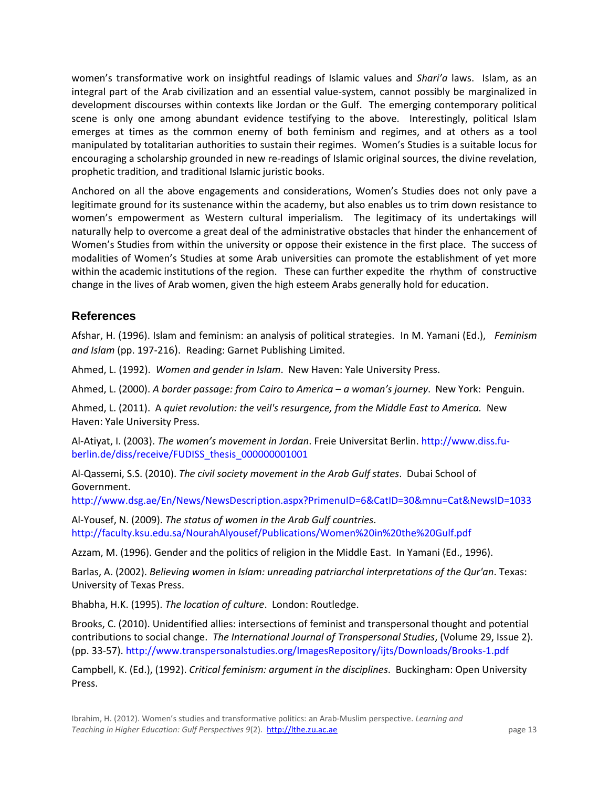women's transformative work on insightful readings of Islamic values and *Shari'a* laws. Islam, as an integral part of the Arab civilization and an essential value-system, cannot possibly be marginalized in development discourses within contexts like Jordan or the Gulf. The emerging contemporary political scene is only one among abundant evidence testifying to the above. Interestingly, political Islam emerges at times as the common enemy of both feminism and regimes, and at others as a tool manipulated by totalitarian authorities to sustain their regimes. Women's Studies is a suitable locus for encouraging a scholarship grounded in new re-readings of Islamic original sources, the divine revelation, prophetic tradition, and traditional Islamic juristic books.

Anchored on all the above engagements and considerations, Women's Studies does not only pave a legitimate ground for its sustenance within the academy, but also enables us to trim down resistance to women's empowerment as Western cultural imperialism. The legitimacy of its undertakings will naturally help to overcome a great deal of the administrative obstacles that hinder the enhancement of Women's Studies from within the university or oppose their existence in the first place. The success of modalities of Women's Studies at some Arab universities can promote the establishment of yet more within the academic institutions of the region. These can further expedite the rhythm of constructive change in the lives of Arab women, given the high esteem Arabs generally hold for education.

## **References**

Afshar, H. (1996). Islam and feminism: an analysis of political strategies. In M. Yamani (Ed.), *Feminism*  and Islam (pp. 197-216). Reading: Garnet Publishing Limited.

Ahmed, L. (1992). *Women and gender in Islam*. New Haven: Yale University Press.

Ahmed, L. (2000). *A border passage: from Cairo to America – a woman's journey*. New York: Penguin.

Ahmed, L. (2011). A *quiet revolution: the veil's resurgence, from the Middle East to America.* New Haven: Yale University Press.

Al-Atiyat, I. (2003). *The women's movement in Jordan*. Freie Universitat Berlin[. http://www.diss.fu](http://www.diss.fu-berlin.de/diss/receive/FUDISS_thesis_000000001001)[berlin.de/diss/receive/FUDISS\\_thesis\\_000000001001](http://www.diss.fu-berlin.de/diss/receive/FUDISS_thesis_000000001001)

Al-Qassemi, S.S. (2010). *The civil society movement in the Arab Gulf states*. Dubai School of Government.

<http://www.dsg.ae/En/News/NewsDescription.aspx?PrimenuID=6&CatID=30&mnu=Cat&NewsID=1033>

Al-Yousef, N. (2009). *The status of women in the Arab Gulf countries*. <http://faculty.ksu.edu.sa/NourahAlyousef/Publications/Women%20in%20the%20Gulf.pdf>

Azzam, M. (1996). Gender and the politics of religion in the Middle East. In Yamani (Ed., 1996).

Barlas, A. (2002). *Believing women in Islam: unreading patriarchal interpretations of the Qur'an*. Texas: University of Texas Press.

Bhabha, H.K. (1995). *The location of culture*. London: Routledge.

Brooks, C. (2010). Unidentified allies: intersections of feminist and transpersonal thought and potential contributions to social change. *The International Journal of Transpersonal Studies*, (Volume 29, Issue 2). (pp. 33-57)[. http://www.transpersonalstudies.org/ImagesRepository/ijts/Downloads/Brooks-1.pdf](http://www.transpersonalstudies.org/ImagesRepository/ijts/Downloads/Brooks-1.pdf)

Campbell, K. (Ed.), (1992). *Critical feminism: argument in the disciplines*. Buckingham: Open University Press.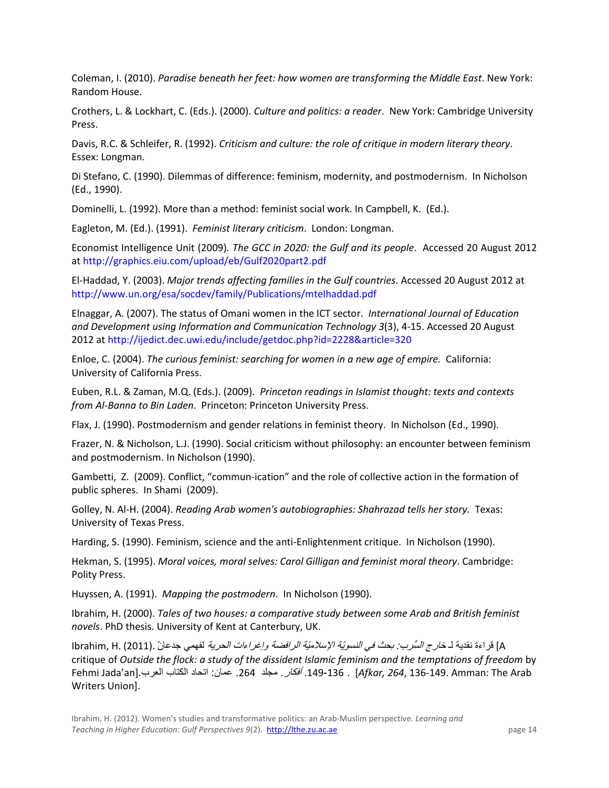Coleman, I. (2010). *Paradise beneath her feet: how women are transforming the Middle East*. New York: Random House.

Crothers, L. & Lockhart, C. (Eds.). (2000). *Culture and politics: a reader*. New York: Cambridge University Press.

Davis, R.C. & Schleifer, R. (1992). *Criticism and culture: the role of critique in modern literary theory*. Essex: Longman.

Di Stefano, C. (1990). Dilemmas of difference: feminism, modernity, and postmodernism. In Nicholson (Ed., 1990).

Dominelli, L. (1992). More than a method: feminist social work. In Campbell, K. (Ed.).

Eagleton, M. (Ed.). (1991). *Feminist literary criticism*. London: Longman.

Economist Intelligence Unit (2009)*. The GCC in 2020: the Gulf and its people*. Accessed 20 August 2012 at <http://graphics.eiu.com/upload/eb/Gulf2020part2.pdf>

El-Haddad, Y. (2003). *Major trends affecting families in the Gulf countries*. Accessed 20 August 2012 at <http://www.un.org/esa/socdev/family/Publications/mtelhaddad.pdf>

Elnaggar, A. (2007). The status of Omani women in the ICT sector. *International Journal of Education and Development using Information and Communication Technology 3*(3), 4-15. Accessed 20 August 2012 at<http://ijedict.dec.uwi.edu/include/getdoc.php?id=2228&article=320>

Enloe, C. (2004). *The curious feminist: searching for women in a new age of empire.* California: University of California Press.

Euben, R.L. & Zaman, M.Q. (Eds.). (2009). *Princeton readings in Islamist thought: texts and contexts from Al-Banna to Bin Laden*. Princeton: Princeton University Press.

Flax, J. (1990). Postmodernism and gender relations in feminist theory. In Nicholson (Ed., 1990).

Frazer, N. & Nicholson, L.J. (1990). Social criticism without philosophy: an encounter between feminism and postmodernism. In Nicholson (1990).

Gambetti, Z. (2009). Conflict, "commun-ication" and the role of collective action in the formation of public spheres. In Shami (2009).

Golley, N. Al-H. (2004). *Reading Arab women's autobiographies: Shahrazad tells her story.* Texas: University of Texas Press.

Harding, S. (1990). Feminism, science and the anti-Enlightenment critique. In Nicholson (1990).

Hekman, S. (1995). *Moral voices, moral selves: Carol Gilligan and feminist moral theory*. Cambridge: Polity Press.

Huyssen, A. (1991). *Mapping the postmodern*. In Nicholson (1990).

Ibrahim, H. (2000). *Tales of two houses: a comparative study between some Arab and British feminist novels*. PhD thesis. University of Kent at Canterbury, UK.

A] قراءة نقدية لـ خا*رج السّرب: بحث في النّسويّة الإسلاميّة الرافضة وإغراءات الحرية* لفهمي جدعانّ .(2011) .Ibrahim, H critique of *Outside the flock: a study of the dissident Islamic feminism and the temptations of freedom* by Fehmi Jada'an].العرب الكتاب اتحاد :عمان .264 مجلذ .أفكار .149-136 .] *Afkar, 264*, 136-149. Amman: The Arab Writers Union].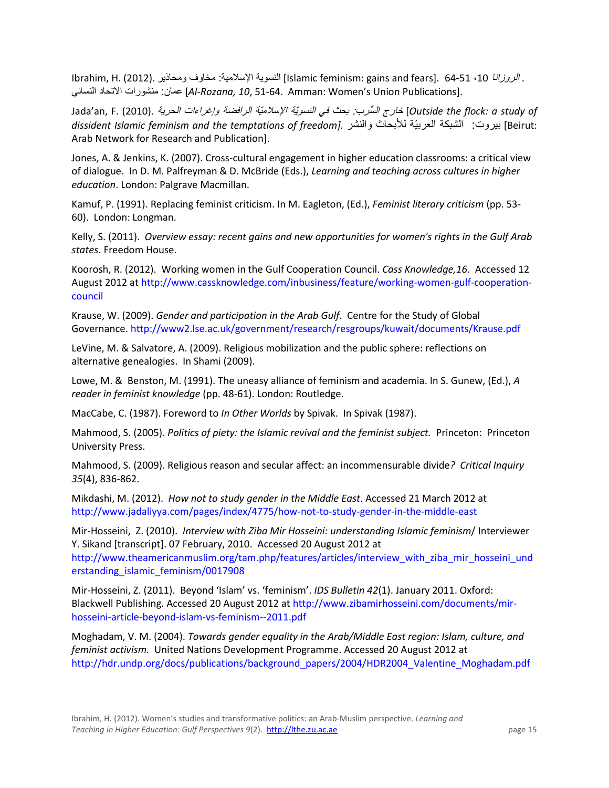Ibrahim, H. (2012). ومحاذين العامية: مخاوف ومحاذين . (10-51 ،10 إن النسوية الإسلامية: مخاوف ومحاذين . [10-61] ا سائيّالن االتحاد منشىراث :عمان] *Al-Rozana, 10*, 51-64. Amman: Women's Union Publications].

of study of خارج السّرب: بحث في النسويّة الإسلاميّة الرافضة وإغراءات الحرية .(2010) .Jada'an, F. (2010 *dissident Islamic feminism and the temptations of freedom].* والنشر لألبحاث تّالعربي الشبكت :بيروث] Beirut: Arab Network for Research and Publication].

Jones, A. & Jenkins, K. (2007). Cross-cultural engagement in higher education classrooms: a critical view of dialogue. In D. M. Palfreyman & D. McBride (Eds.), *Learning and teaching across cultures in higher education*. London: Palgrave Macmillan.

Kamuf, P. (1991). Replacing feminist criticism. In M. Eagleton, (Ed.), *Feminist literary criticism* (pp. 53- 60). London: Longman.

Kelly, S. (2011). *Overview essay: recent gains and new opportunities for women's rights in the Gulf Arab states*. Freedom House.

Koorosh, R. (2012). Working women in the Gulf Cooperation Council. *Cass Knowledge,16*. Accessed 12 August 2012 at [http://www.cassknowledge.com/inbusiness/feature/working-women-gulf-cooperation](http://www.cassknowledge.com/inbusiness/feature/working-women-gulf-cooperation-council)[council](http://www.cassknowledge.com/inbusiness/feature/working-women-gulf-cooperation-council)

Krause, W. (2009). *Gender and participation in the Arab Gulf*. Centre for the Study of Global Governance.<http://www2.lse.ac.uk/government/research/resgroups/kuwait/documents/Krause.pdf>

LeVine, M. & Salvatore, A. (2009). Religious mobilization and the public sphere: reflections on alternative genealogies. In Shami (2009).

Lowe, M. & Benston, M. (1991). The uneasy alliance of feminism and academia. In S. Gunew, (Ed.), *A reader in feminist knowledge* (pp. 48-61). London: Routledge.

MacCabe, C. (1987). Foreword to *In Other Worlds* by Spivak. In Spivak (1987).

Mahmood, S. (2005). *Politics of piety: the Islamic revival and the feminist subject.* Princeton: Princeton University Press.

Mahmood, S. (2009). Religious reason and secular affect: an incommensurable divide*? Critical Inquiry 35*(4), 836-862.

Mikdashi, M. (2012). *How not to study gender in the Middle East*. Accessed 21 March 2012 at <http://www.jadaliyya.com/pages/index/4775/how-not-to-study-gender-in-the-middle-east>

Mir-Hosseini, Z. (2010). *Interview with Ziba Mir Hosseini: understanding Islamic feminism*/ Interviewer Y. Sikand [transcript]. 07 February, 2010. Accessed 20 August 2012 at

[http://www.theamericanmuslim.org/tam.php/features/articles/interview\\_with\\_ziba\\_mir\\_hosseini\\_und](http://www.theamericanmuslim.org/tam.php/features/articles/interview_with_ziba_mir_hosseini_understanding_islamic_feminism/0017908) [erstanding\\_islamic\\_feminism/0017908](http://www.theamericanmuslim.org/tam.php/features/articles/interview_with_ziba_mir_hosseini_understanding_islamic_feminism/0017908)

Mir-Hosseini, Z. (2011). Beyond 'Islam' vs. 'feminism'. *IDS Bulletin 42*(1). January 2011. Oxford: Blackwell Publishing. Accessed 20 August 2012 at [http://www.zibamirhosseini.com/documents/mir](http://www.zibamirhosseini.com/documents/mir-hosseini-article-beyond-islam-vs-feminism--2011.pdf)[hosseini-article-beyond-islam-vs-feminism--2011.pdf](http://www.zibamirhosseini.com/documents/mir-hosseini-article-beyond-islam-vs-feminism--2011.pdf)

Moghadam, V. M. (2004). *Towards gender equality in the Arab/Middle East region: Islam, culture, and feminist activism.* United Nations Development Programme. Accessed 20 August 2012 at [http://hdr.undp.org/docs/publications/background\\_papers/2004/HDR2004\\_Valentine\\_Moghadam.pdf](http://hdr.undp.org/docs/publications/background_papers/2004/HDR2004_Valentine_Moghadam.pdf)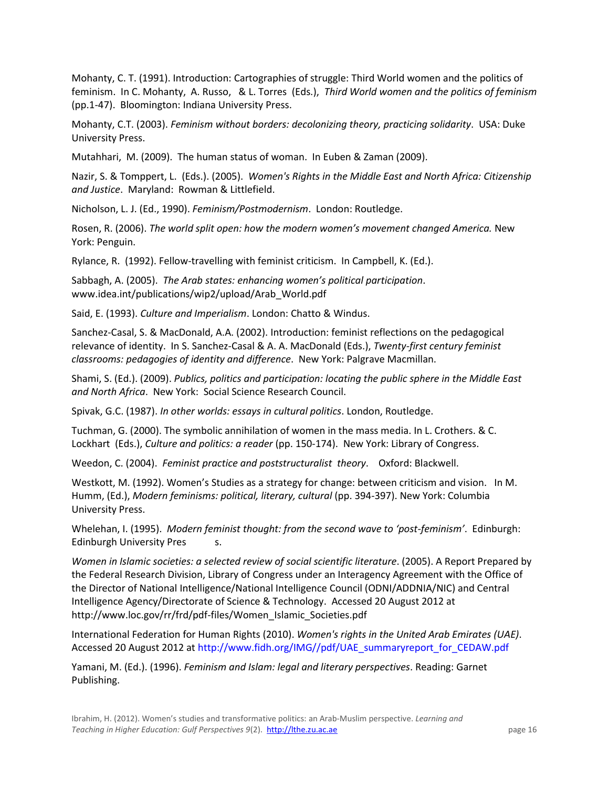Mohanty, C. T. (1991). Introduction: Cartographies of struggle: Third World women and the politics of feminism. In C. Mohanty, A. Russo, & L. Torres (Eds.), *Third World women and the politics of feminism* (pp.1-47). Bloomington: Indiana University Press.

Mohanty, C.T. (2003). *Feminism without borders: decolonizing theory, practicing solidarity*. USA: Duke University Press.

Mutahhari, M. (2009). The human status of woman. In Euben & Zaman (2009).

Nazir, S. & Tomppert, L. (Eds.). (2005). *Women's Rights in the Middle East and North Africa: Citizenship and Justice*. Maryland: Rowman & Littlefield.

Nicholson, L. J. (Ed., 1990). *Feminism/Postmodernism*. London: Routledge.

Rosen, R. (2006). *The world split open: how the modern women's movement changed America.* New York: Penguin.

Rylance, R. (1992). Fellow-travelling with feminist criticism. In Campbell, K. (Ed.).

Sabbagh, A. (2005). *The Arab states: enhancing women's political participation*. www.idea.int/publications/wip2/upload/Arab\_World.pdf

Said, E. (1993). *Culture and Imperialism*. London: Chatto & Windus.

Sanchez-Casal, S. & MacDonald, A.A. (2002). Introduction: feminist reflections on the pedagogical relevance of identity. In S. Sanchez-Casal & A. A. MacDonald (Eds.), *Twenty-first century feminist classrooms: pedagogies of identity and difference*. New York: Palgrave Macmillan.

Shami, S. (Ed.). (2009). *Publics, politics and participation: locating the public sphere in the Middle East and North Africa*. New York: Social Science Research Council.

Spivak, G.C. (1987). *In other worlds: essays in cultural politics*. London, Routledge.

Tuchman, G. (2000). The symbolic annihilation of women in the mass media. In L. Crothers. & C. Lockhart (Eds.), *Culture and politics: a reader* (pp. 150-174). New York: Library of Congress.

Weedon, C. (2004). *Feminist practice and poststructuralist theory*. Oxford: Blackwell.

Westkott, M. (1992). Women's Studies as a strategy for change: between criticism and vision. In M. Humm, (Ed.), *Modern feminisms: political, literary, cultural* (pp. 394-397). New York: Columbia University Press.

Whelehan, I. (1995). *Modern feminist thought: from the second wave to 'post-feminism'*. Edinburgh: Edinburgh University Pres s.

*Women in Islamic societies: a selected review of social scientific literature.* (2005). A Report Prepared by the Federal Research Division, Library of Congress under an Interagency Agreement with the Office of the Director of National Intelligence/National Intelligence Council (ODNI/ADDNIA/NIC) and Central Intelligence Agency/Directorate of Science & Technology. Accessed 20 August 2012 at http://www.loc.gov/rr/frd/pdf-files/Women\_Islamic\_Societies.pdf

International Federation for Human Rights (2010). *Women's rights in the United Arab Emirates (UAE)*. Accessed 20 August 2012 at [http://www.fidh.org/IMG//pdf/UAE\\_summaryreport\\_for\\_CEDAW.pdf](http://www.fidh.org/IMG/pdf/UAE_summaryreport_for_CEDAW.pdf)

Yamani, M. (Ed.). (1996). *Feminism and Islam: legal and literary perspectives*. Reading: Garnet Publishing.